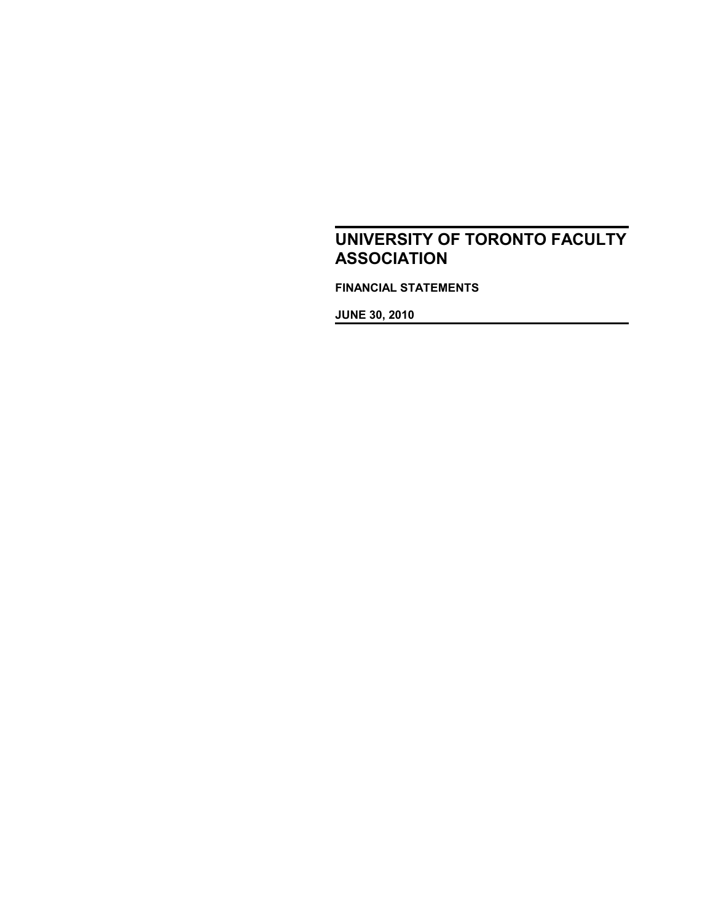**FINANCIAL STATEMENTS**

**JUNE 30, 2010**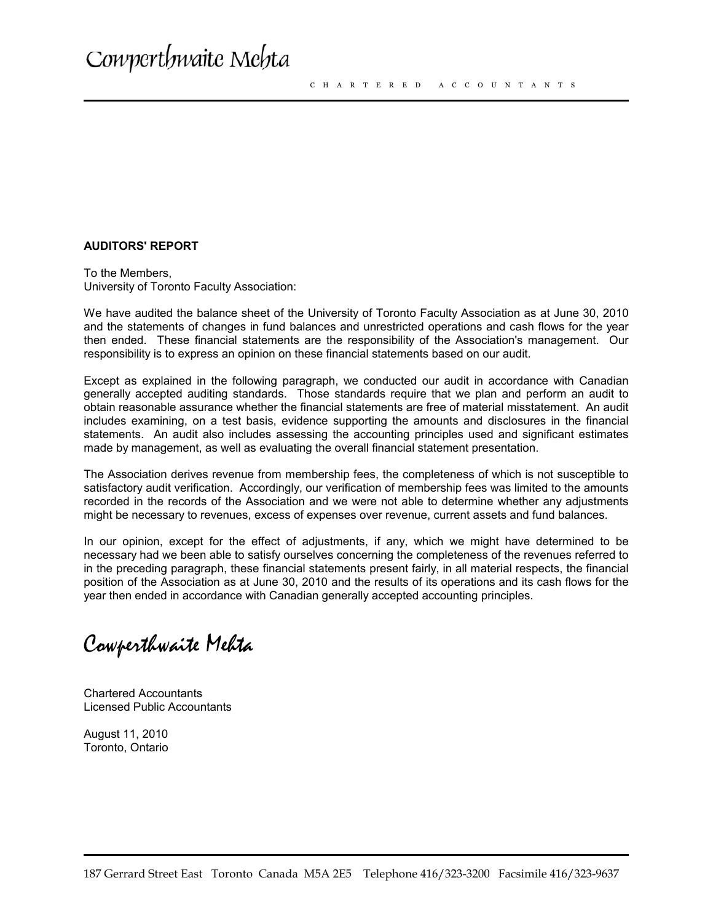#### **AUDITORS' REPORT**

To the Members, University of Toronto Faculty Association:

We have audited the balance sheet of the University of Toronto Faculty Association as at June 30, 2010 and the statements of changes in fund balances and unrestricted operations and cash flows for the year then ended. These financial statements are the responsibility of the Association's management. Our responsibility is to express an opinion on these financial statements based on our audit.

Except as explained in the following paragraph, we conducted our audit in accordance with Canadian generally accepted auditing standards. Those standards require that we plan and perform an audit to obtain reasonable assurance whether the financial statements are free of material misstatement. An audit includes examining, on a test basis, evidence supporting the amounts and disclosures in the financial statements. An audit also includes assessing the accounting principles used and significant estimates made by management, as well as evaluating the overall financial statement presentation.

The Association derives revenue from membership fees, the completeness of which is not susceptible to satisfactory audit verification. Accordingly, our verification of membership fees was limited to the amounts recorded in the records of the Association and we were not able to determine whether any adjustments might be necessary to revenues, excess of expenses over revenue, current assets and fund balances.

In our opinion, except for the effect of adjustments, if any, which we might have determined to be necessary had we been able to satisfy ourselves concerning the completeness of the revenues referred to in the preceding paragraph, these financial statements present fairly, in all material respects, the financial position of the Association as at June 30, 2010 and the results of its operations and its cash flows for the year then ended in accordance with Canadian generally accepted accounting principles.

Cowperthwaite Mehta

Chartered Accountants Licensed Public Accountants

August 11, 2010 Toronto, Ontario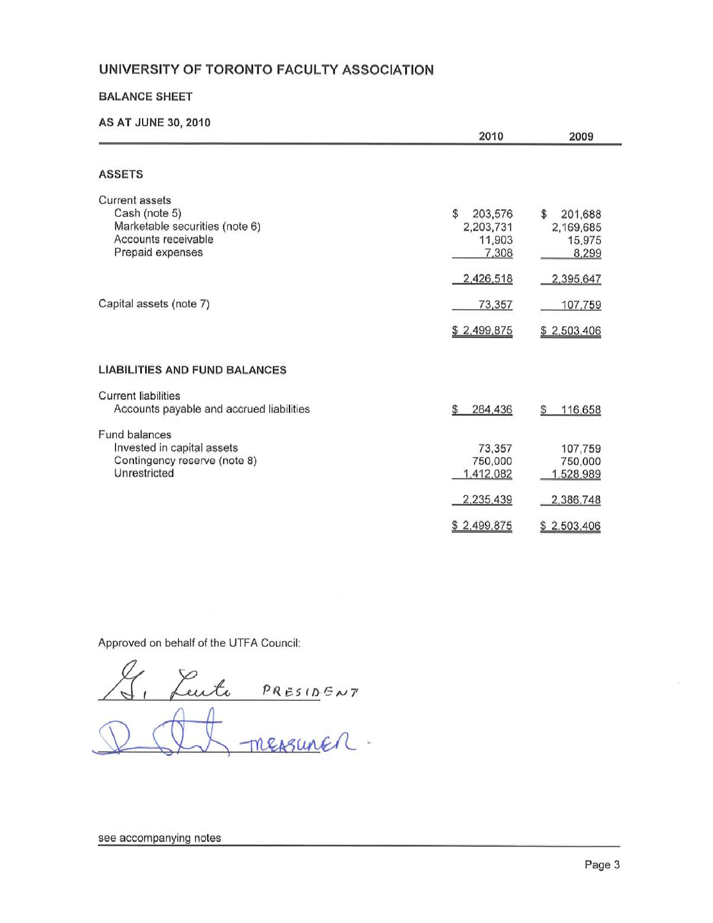### **BALANCE SHEET**

### AS AT JUNE 30, 2010

| 2010                                                       | 2009                                                        |
|------------------------------------------------------------|-------------------------------------------------------------|
|                                                            |                                                             |
| \$<br>203,576<br>2,203,731<br>11,903<br>7,308<br>2,426,518 | \$.<br>201,688<br>2,169,685<br>15,975<br>8,299<br>2,395,647 |
| 73,357<br>\$2,499,875                                      | 107,759<br>\$2,503,406                                      |
|                                                            |                                                             |
| 264,436<br>\$                                              | 116,658<br>S                                                |
| 73,357<br>750,000<br>1,412,082<br>2,235,439                | 107,759<br>750,000<br>1,528,989<br>2,386,748<br>\$2,503,406 |
|                                                            | \$2,499,875                                                 |

Approved on behalf of the UTFA Council:

Luite PRESIDENT

see accompanying notes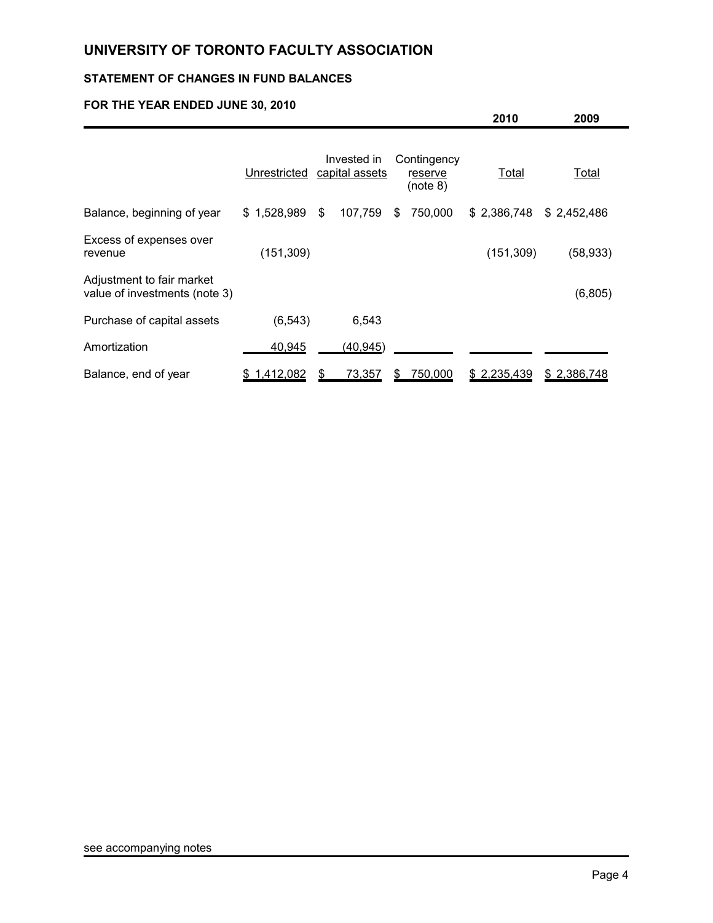# **STATEMENT OF CHANGES IN FUND BALANCES**

# **FOR THE YEAR ENDED JUNE 30, 2010**

|                                                            |              |                               |    |                                    | 2010        | 2009        |  |
|------------------------------------------------------------|--------------|-------------------------------|----|------------------------------------|-------------|-------------|--|
|                                                            | Unrestricted | Invested in<br>capital assets |    | Contingency<br>reserve<br>(note 8) | Total       | Total       |  |
| Balance, beginning of year                                 | \$1,528,989  | \$<br>107,759                 | \$ | 750,000                            | \$2,386,748 | \$2,452,486 |  |
| Excess of expenses over<br>revenue                         | (151, 309)   |                               |    |                                    | (151, 309)  | (58, 933)   |  |
| Adjustment to fair market<br>value of investments (note 3) |              |                               |    |                                    |             | (6,805)     |  |
| Purchase of capital assets                                 | (6, 543)     | 6,543                         |    |                                    |             |             |  |
| Amortization                                               | 40,945       | (40, 945)                     |    |                                    |             |             |  |
| Balance, end of year                                       | \$1,412,082  | 73,357                        | S  | 750,000                            | \$2,235,439 | \$2,386,748 |  |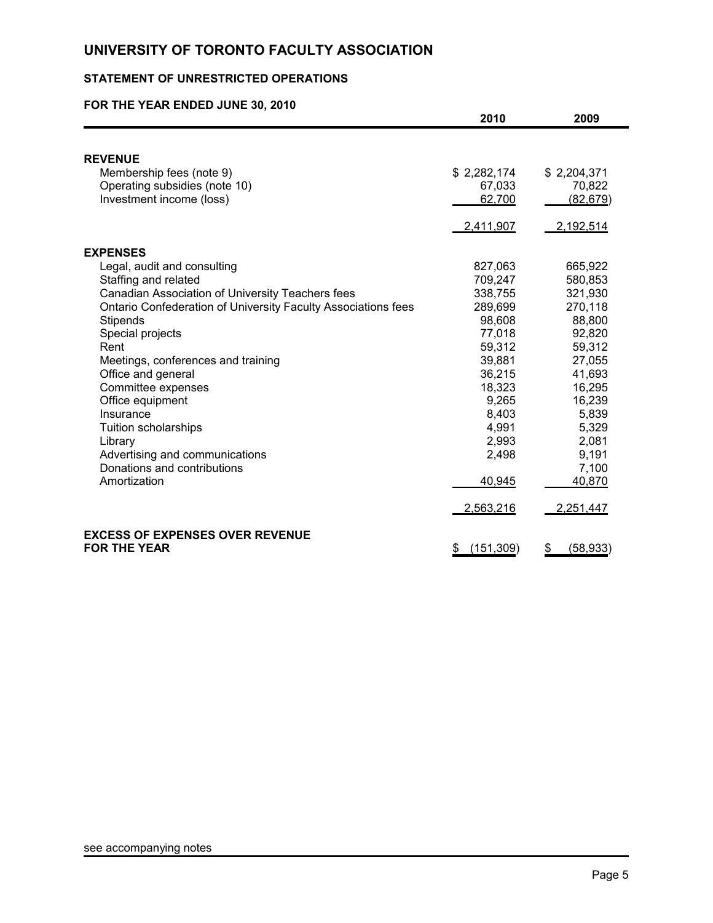# **STATEMENT OF UNRESTRICTED OPERATIONS**

# **FOR THE YEAR ENDED JUNE 30, 2010**

|                                                               | 2010             | 2009            |
|---------------------------------------------------------------|------------------|-----------------|
|                                                               |                  |                 |
| <b>REVENUE</b>                                                |                  |                 |
| Membership fees (note 9)                                      | \$2,282,174      | \$2,204,371     |
| Operating subsidies (note 10)                                 | 67,033           | 70,822          |
| Investment income (loss)                                      | 62,700           | (82, 679)       |
|                                                               | 2,411,907        | 2,192,514       |
| <b>EXPENSES</b>                                               |                  |                 |
| Legal, audit and consulting                                   | 827,063          | 665,922         |
| Staffing and related                                          | 709,247          | 580,853         |
| Canadian Association of University Teachers fees              | 338,755          | 321,930         |
| Ontario Confederation of University Faculty Associations fees | 289,699          | 270,118         |
| <b>Stipends</b>                                               | 98,608           | 88,800          |
| Special projects                                              | 77,018           | 92,820          |
| Rent                                                          | 59,312           | 59,312          |
| Meetings, conferences and training                            | 39,881           | 27,055          |
| Office and general                                            | 36,215           | 41,693          |
| Committee expenses                                            | 18,323           | 16,295          |
| Office equipment                                              | 9,265            | 16,239          |
| Insurance                                                     | 8,403            | 5,839           |
| Tuition scholarships                                          | 4,991            | 5,329           |
| Library                                                       | 2,993            | 2,081           |
| Advertising and communications                                | 2,498            | 9,191           |
| Donations and contributions                                   |                  | 7,100           |
| Amortization                                                  | 40,945           | 40,870          |
|                                                               | 2,563,216        | 2,251,447       |
| <b>EXCESS OF EXPENSES OVER REVENUE</b>                        |                  |                 |
| <b>FOR THE YEAR</b>                                           | (151, 309)<br>\$ | \$<br>(58, 933) |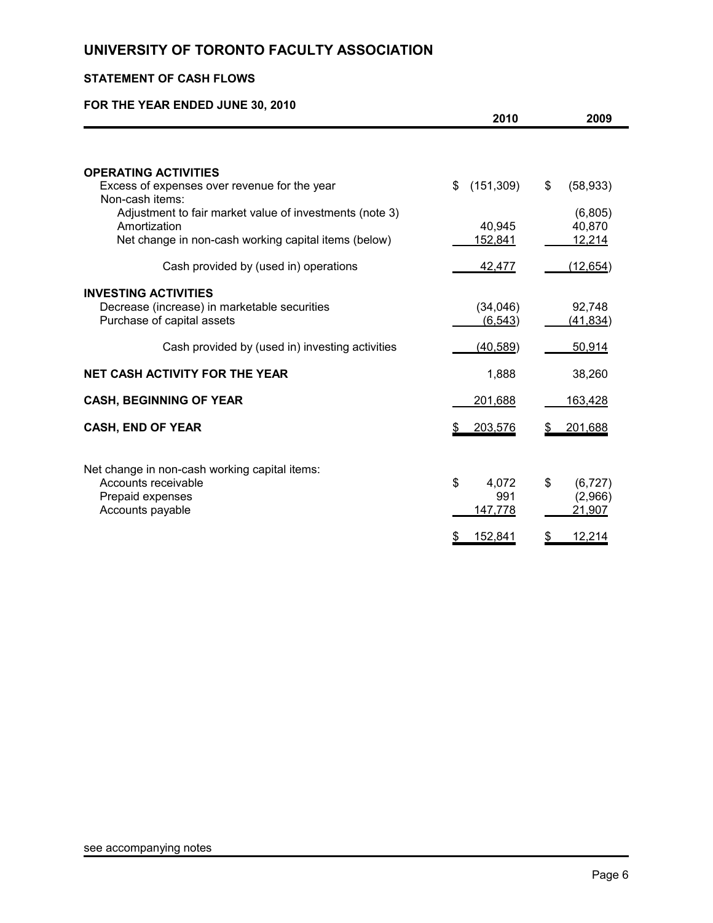# **STATEMENT OF CASH FLOWS**

# **FOR THE YEAR ENDED JUNE 30, 2010**

|                                                                 | 2010             | 2009              |
|-----------------------------------------------------------------|------------------|-------------------|
|                                                                 |                  |                   |
| <b>OPERATING ACTIVITIES</b>                                     |                  |                   |
| Excess of expenses over revenue for the year<br>Non-cash items: | (151, 309)<br>\$ | \$<br>(58, 933)   |
| Adjustment to fair market value of investments (note 3)         |                  | (6,805)           |
| Amortization                                                    | 40,945           | 40,870            |
| Net change in non-cash working capital items (below)            | 152,841          | 12,214            |
| Cash provided by (used in) operations                           | 42,477           | (12, 654)         |
| <b>INVESTING ACTIVITIES</b>                                     |                  |                   |
| Decrease (increase) in marketable securities                    | (34,046)         | 92,748            |
| Purchase of capital assets                                      | (6, 543)         | (41, 834)         |
| Cash provided by (used in) investing activities                 | (40, 589)        | 50,914            |
| <b>NET CASH ACTIVITY FOR THE YEAR</b>                           | 1,888            | 38,260            |
| <b>CASH, BEGINNING OF YEAR</b>                                  | 201,688          | 163,428           |
| <b>CASH, END OF YEAR</b>                                        | 203,576          | 201,688           |
|                                                                 |                  |                   |
| Net change in non-cash working capital items:                   |                  |                   |
| Accounts receivable                                             | \$<br>4,072      | \$<br>(6, 727)    |
| Prepaid expenses<br>Accounts payable                            | 991<br>147,778   | (2,966)<br>21,907 |
|                                                                 |                  |                   |
|                                                                 | 152,841          | 12,214            |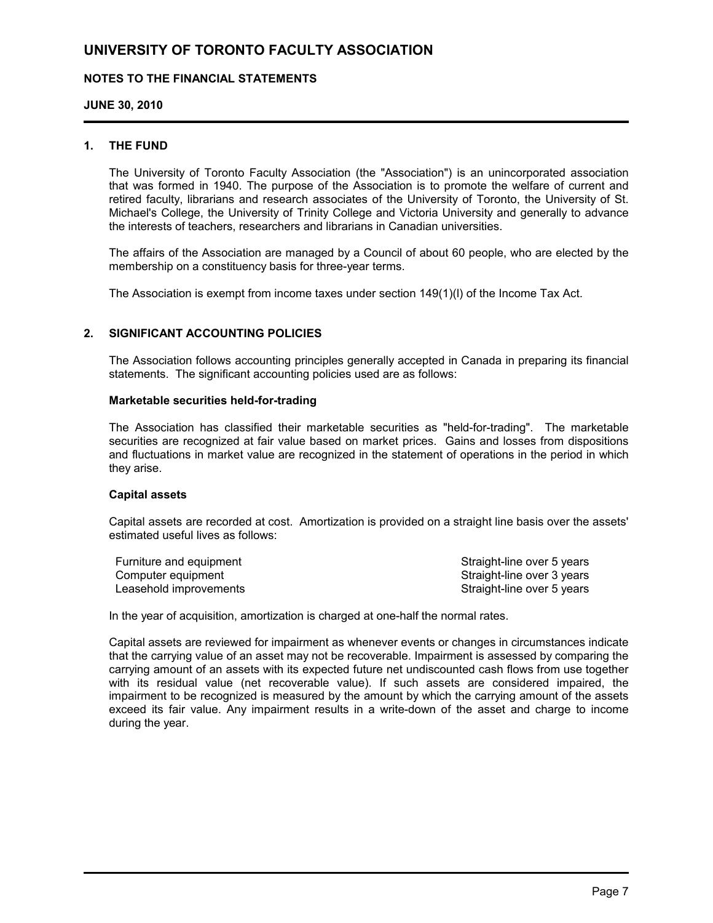### **NOTES TO THE FINANCIAL STATEMENTS**

### **JUNE 30, 2010**

### **1. THE FUND**

The University of Toronto Faculty Association (the "Association") is an unincorporated association that was formed in 1940. The purpose of the Association is to promote the welfare of current and retired faculty, librarians and research associates of the University of Toronto, the University of St. Michael's College, the University of Trinity College and Victoria University and generally to advance the interests of teachers, researchers and librarians in Canadian universities.

The affairs of the Association are managed by a Council of about 60 people, who are elected by the membership on a constituency basis for three-year terms.

The Association is exempt from income taxes under section 149(1)(l) of the Income Tax Act.

### **2. SIGNIFICANT ACCOUNTING POLICIES**

The Association follows accounting principles generally accepted in Canada in preparing its financial statements. The significant accounting policies used are as follows:

#### **Marketable securities held-for-trading**

The Association has classified their marketable securities as "held-for-trading". The marketable securities are recognized at fair value based on market prices. Gains and losses from dispositions and fluctuations in market value are recognized in the statement of operations in the period in which they arise.

#### **Capital assets**

Capital assets are recorded at cost. Amortization is provided on a straight line basis over the assets' estimated useful lives as follows:

| Furniture and equipment | Straight-line over 5 years |
|-------------------------|----------------------------|
| Computer equipment      | Straight-line over 3 years |
| Leasehold improvements  | Straight-line over 5 years |

In the year of acquisition, amortization is charged at one-half the normal rates.

Capital assets are reviewed for impairment as whenever events or changes in circumstances indicate that the carrying value of an asset may not be recoverable. Impairment is assessed by comparing the carrying amount of an assets with its expected future net undiscounted cash flows from use together with its residual value (net recoverable value). If such assets are considered impaired, the impairment to be recognized is measured by the amount by which the carrying amount of the assets exceed its fair value. Any impairment results in a write-down of the asset and charge to income during the year.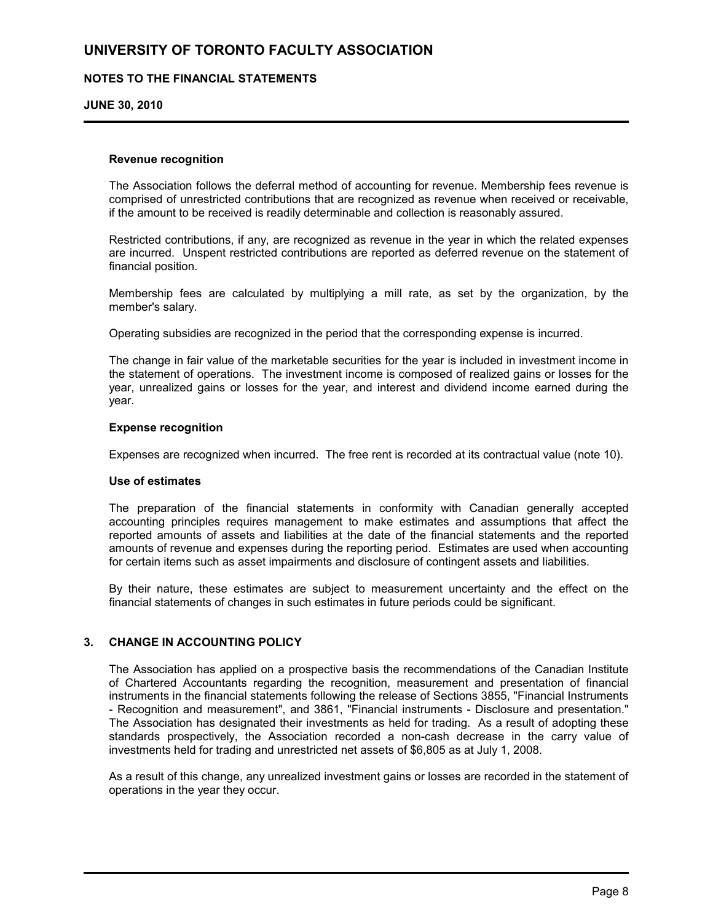### **NOTES TO THE FINANCIAL STATEMENTS**

#### **JUNE 30, 2010**

#### **Revenue recognition**

The Association follows the deferral method of accounting for revenue. Membership fees revenue is comprised of unrestricted contributions that are recognized as revenue when received or receivable, if the amount to be received is readily determinable and collection is reasonably assured.

Restricted contributions, if any, are recognized as revenue in the year in which the related expenses are incurred. Unspent restricted contributions are reported as deferred revenue on the statement of financial position.

Membership fees are calculated by multiplying a mill rate, as set by the organization, by the member's salary.

Operating subsidies are recognized in the period that the corresponding expense is incurred.

The change in fair value of the marketable securities for the year is included in investment income in the statement of operations. The investment income is composed of realized gains or losses for the year, unrealized gains or losses for the year, and interest and dividend income earned during the year.

#### **Expense recognition**

Expenses are recognized when incurred. The free rent is recorded at its contractual value (note 10).

### **Use of estimates**

The preparation of the financial statements in conformity with Canadian generally accepted accounting principles requires management to make estimates and assumptions that affect the reported amounts of assets and liabilities at the date of the financial statements and the reported amounts of revenue and expenses during the reporting period. Estimates are used when accounting for certain items such as asset impairments and disclosure of contingent assets and liabilities.

By their nature, these estimates are subject to measurement uncertainty and the effect on the financial statements of changes in such estimates in future periods could be significant.

### **3. CHANGE IN ACCOUNTING POLICY**

The Association has applied on a prospective basis the recommendations of the Canadian Institute of Chartered Accountants regarding the recognition, measurement and presentation of financial instruments in the financial statements following the release of Sections 3855, "Financial Instruments - Recognition and measurement", and 3861, "Financial instruments - Disclosure and presentation." The Association has designated their investments as held for trading. As a result of adopting these standards prospectively, the Association recorded a non-cash decrease in the carry value of investments held for trading and unrestricted net assets of \$6,805 as at July 1, 2008.

As a result of this change, any unrealized investment gains or losses are recorded in the statement of operations in the year they occur.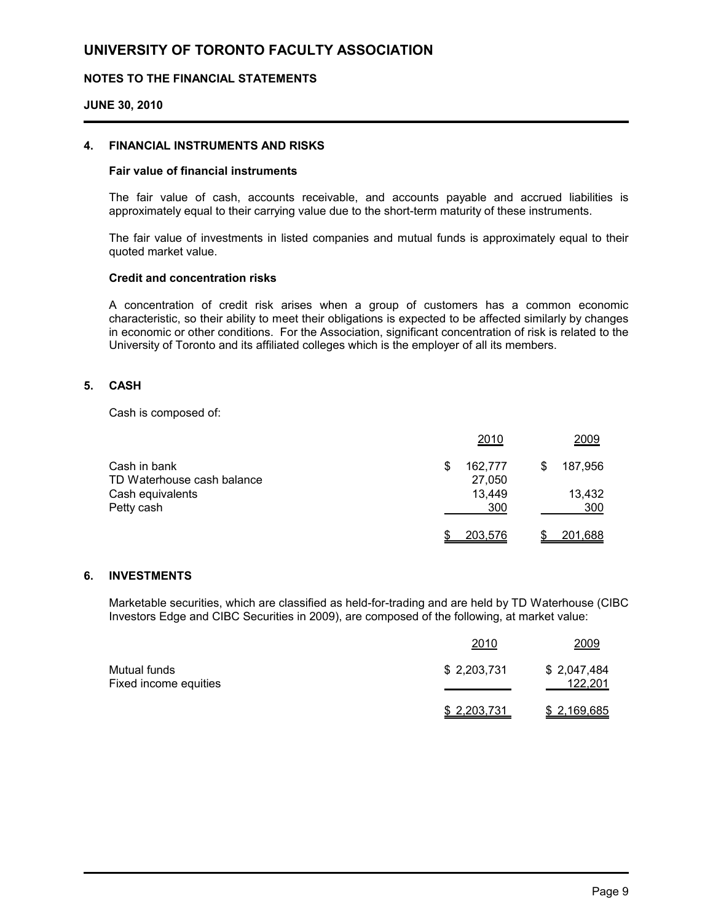### **NOTES TO THE FINANCIAL STATEMENTS**

#### **JUNE 30, 2010**

#### **4. FINANCIAL INSTRUMENTS AND RISKS**

#### **Fair value of financial instruments**

The fair value of cash, accounts receivable, and accounts payable and accrued liabilities is approximately equal to their carrying value due to the short-term maturity of these instruments.

The fair value of investments in listed companies and mutual funds is approximately equal to their quoted market value.

### **Credit and concentration risks**

A concentration of credit risk arises when a group of customers has a common economic characteristic, so their ability to meet their obligations is expected to be affected similarly by changes in economic or other conditions. For the Association, significant concentration of risk is related to the University of Toronto and its affiliated colleges which is the employer of all its members.

### **5. CASH**

Cash is composed of:

|                            | 2010           | 2009         |
|----------------------------|----------------|--------------|
| Cash in bank               | 162,777        | 187,956<br>S |
| TD Waterhouse cash balance | 27,050         |              |
| Cash equivalents           | 13.449         | 13,432       |
| Petty cash                 | 300            | 300          |
|                            | <u>203,576</u> | 201,688      |

### **6. INVESTMENTS**

Marketable securities, which are classified as held-for-trading and are held by TD Waterhouse (CIBC Investors Edge and CIBC Securities in 2009), are composed of the following, at market value:

|                                       | 2010         | 2009                   |
|---------------------------------------|--------------|------------------------|
| Mutual funds<br>Fixed income equities | \$2,203,731  | \$2,047,484<br>122,201 |
|                                       | \$ 2,203,731 | \$2,169,685            |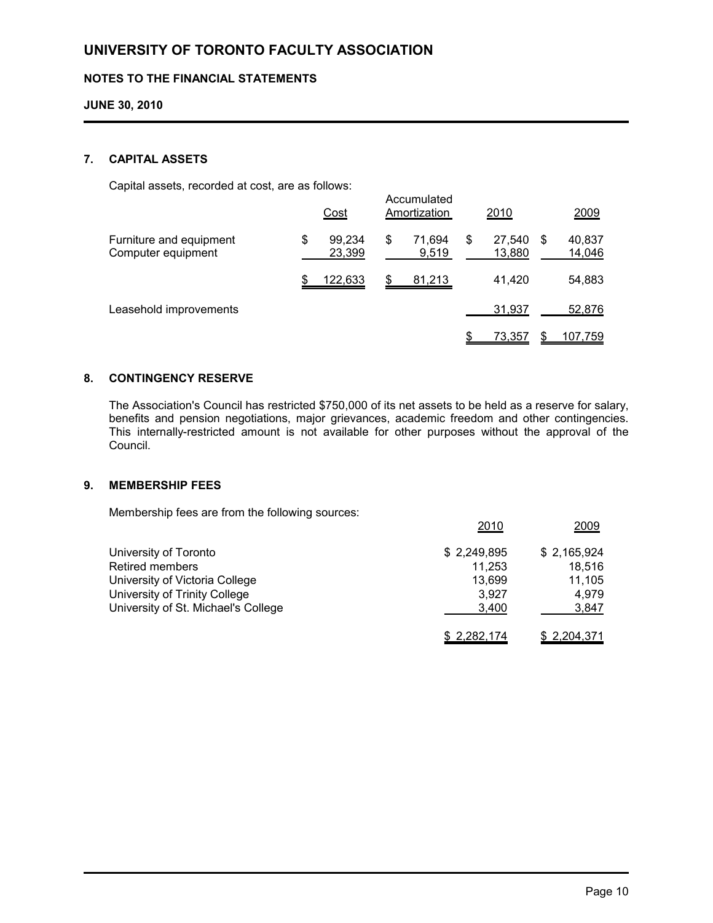## **NOTES TO THE FINANCIAL STATEMENTS**

### **JUNE 30, 2010**

### **7. CAPITAL ASSETS**

Capital assets, recorded at cost, are as follows:

| <u>oaphar accond, rocoraca al cool, are ac rolloffer</u> |                        | Accumulated           |                        |                       |
|----------------------------------------------------------|------------------------|-----------------------|------------------------|-----------------------|
|                                                          | Cost                   | Amortization          | 2010                   | 2009                  |
| Furniture and equipment<br>Computer equipment            | 99,234<br>\$<br>23,399 | 71.694<br>\$<br>9,519 | \$<br>27,540<br>13,880 | 40,837<br>S<br>14,046 |
|                                                          | 122,633                | 81,213                | 41,420                 | 54,883                |
| Leasehold improvements                                   |                        |                       | 31,937                 | 52,876                |
|                                                          |                        |                       | 73,357                 | 107,759               |

### **8. CONTINGENCY RESERVE**

The Association's Council has restricted \$750,000 of its net assets to be held as a reserve for salary, benefits and pension negotiations, major grievances, academic freedom and other contingencies. This internally-restricted amount is not available for other purposes without the approval of the Council.

### **9. MEMBERSHIP FEES**

Membership fees are from the following sources:

| University of Toronto               | \$2,249,895 | \$2,165,924  |
|-------------------------------------|-------------|--------------|
| <b>Retired members</b>              | 11.253      | 18.516       |
| University of Victoria College      | 13.699      | 11,105       |
| University of Trinity College       | 3.927       | 4.979        |
| University of St. Michael's College | 3,400       | <u>3,847</u> |
|                                     | \$2,282,174 | \$2,204,371  |

2010 2009